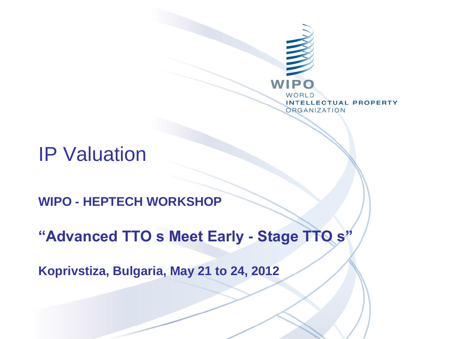

#### IP Valuation

**WIPO - HEPTECH WORKSHOP**

**"Advanced TTO s Meet Early - Stage TTO s"**

**Koprivstiza, Bulgaria, May 21 to 24, 2012**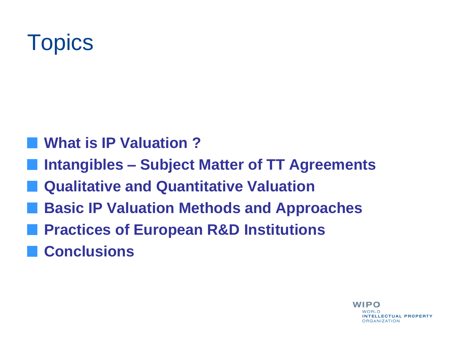# **Topics**

- **What is IP Valuation ?**
- **Intangibles – Subject Matter of TT Agreements**
- **Qualitative and Quantitative Valuation**
- **Basic IP Valuation Methods and Approaches**
- **Practices of European R&D Institutions**
- **Conclusions**

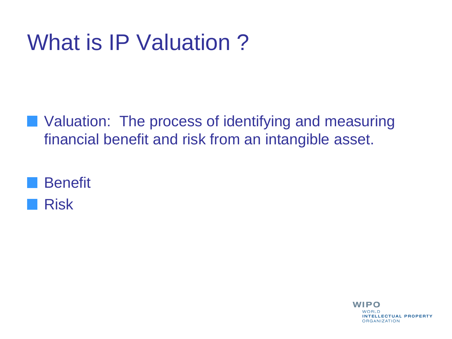# What is IP Valuation ?

**Notainally 19 Yaluation: The process of identifying and measuring** financial benefit and risk from an intangible asset.



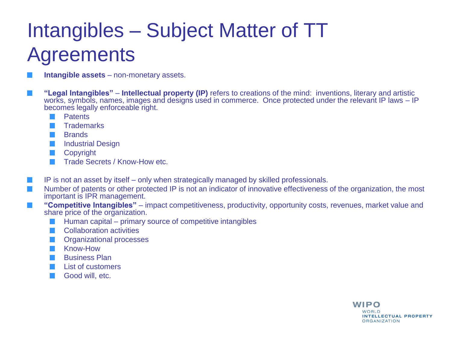#### Intangibles – Subject Matter of TT **Agreements**

- **Intangible assets** non-monetary assets.
- **"Legal Intangibles" Intellectual property (IP)** refers to creations of the mind: inventions, literary and artistic works, symbols, names, images and designs used in commerce. Once protected under the relevant IP laws – IP becomes legally enforceable right.
	- **Patents**  $\sim$
	- **Trademarks**
	- **Brands**
	- **Industrial Design** m.
	- **Copyright** m.
	- Trade Secrets / Know-How etc.  $\mathcal{L}_{\mathcal{A}}$
- IP is not an asset by itself only when strategically managed by skilled professionals.
- Number of patents or other protected IP is not an indicator of innovative effectiveness of the organization, the most important is IPR management.
- **"Competitive Intangibles"** impact competitiveness, productivity, opportunity costs, revenues, market value and share price of the organization.
	- Human capital primary source of competitive intangibles
	- Collaboration activities
	- Organizational processes
	- Know-How
	- Business Plan
	- List of customers
	- Good will, etc.

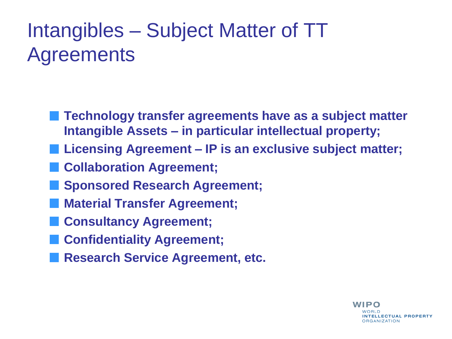#### Intangibles – Subject Matter of TT **Agreements**

- **Technology transfer agreements have as a subject matter Intangible Assets – in particular intellectual property;**
- **Licensing Agreement – IP is an exclusive subject matter;** 
	- **Collaboration Agreement;**
	- **Sponsored Research Agreement;**
- **Material Transfer Agreement;**
- **Consultancy Agreement;**
- **Confidentiality Agreement;**
- **Research Service Agreement, etc.**

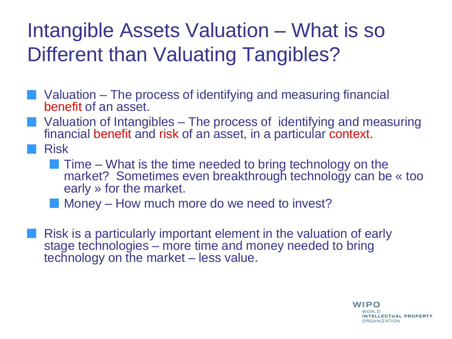#### Intangible Assets Valuation – What is so Different than Valuating Tangibles?

- Valuation The process of identifying and measuring financial benefit of an asset.
- Valuation of Intangibles The process of identifying and measuring financial benefit and risk of an asset, in a particular context.
- Risk
	- **Time What is the time needed to bring technology on the** market? Sometimes even breakthrough technology can be « too early » for the market.
	- **Money How much more do we need to invest?**
	- Risk is a particularly important element in the valuation of early stage technologies – more time and money needed to bring technology on the market – less value.

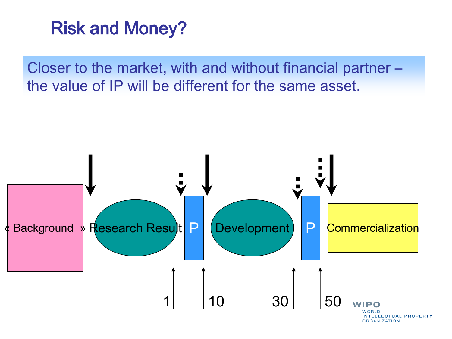

Closer to the market, with and without financial partner – the value of IP will be different for the same asset.

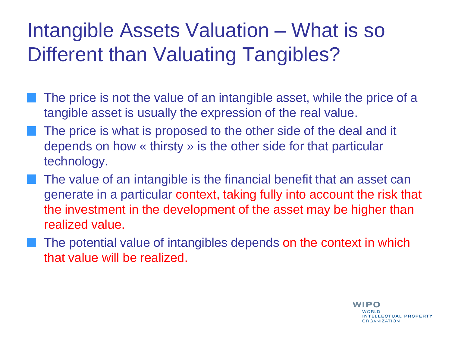#### Intangible Assets Valuation – What is so Different than Valuating Tangibles?

- The price is not the value of an intangible asset, while the price of a tangible asset is usually the expression of the real value.
- The price is what is proposed to the other side of the deal and it depends on how « thirsty » is the other side for that particular technology.
- The value of an intangible is the financial benefit that an asset can generate in a particular context, taking fully into account the risk that the investment in the development of the asset may be higher than realized value.
	- The potential value of intangibles depends on the context in which that value will be realized.

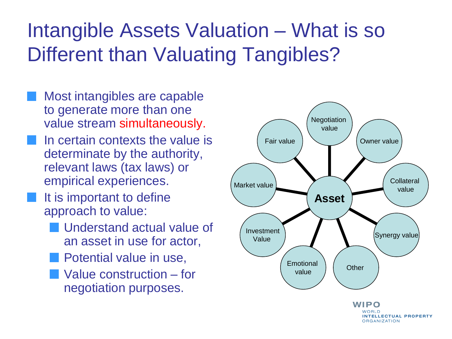#### Intangible Assets Valuation – What is so Different than Valuating Tangibles?

- Most intangibles are capable to generate more than one value stream simultaneously.
- In certain contexts the value is determinate by the authority, relevant laws (tax laws) or empirical experiences.
- It is important to define approach to value:
	- Understand actual value of an asset in use for actor,
		- Potential value in use,
	- Value construction for negotiation purposes.



**INTELLECTUAL PROPERTY ORGANIZATION**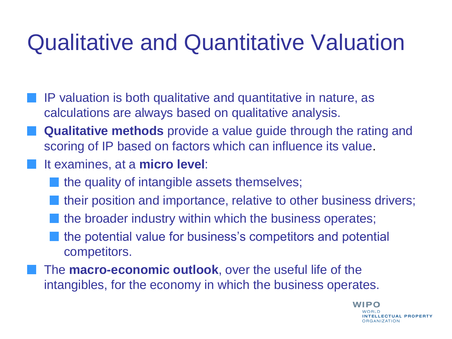## Qualitative and Quantitative Valuation

- IP valuation is both qualitative and quantitative in nature, as calculations are always based on qualitative analysis.
- **Qualitative methods** provide a value guide through the rating and scoring of IP based on factors which can influence its value.
- It examines, at a **micro level**:
	- the quality of intangible assets themselves;
	- their position and importance, relative to other business drivers;
	- the broader industry within which the business operates;
	- the potential value for business's competitors and potential competitors.
	- The **macro-economic outlook**, over the useful life of the intangibles, for the economy in which the business operates.

WIPO NTELLECTUAL PROPERTY **DRGANIZATION**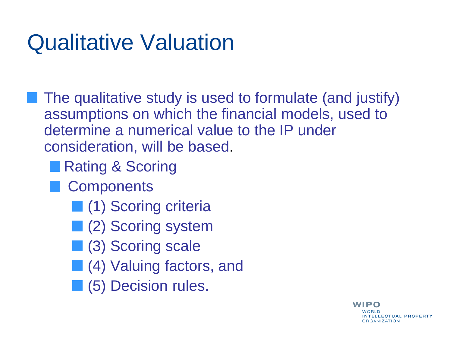# Qualitative Valuation

The qualitative study is used to formulate (and justify) assumptions on which the financial models, used to determine a numerical value to the IP under consideration, will be based.

■ Rating & Scoring

- **Components** 
	- **(1) Scoring criteria**
	- **(2) Scoring system**
	- **(3)** Scoring scale
	- **(4)** Valuing factors, and
	- **(5)** Decision rules.

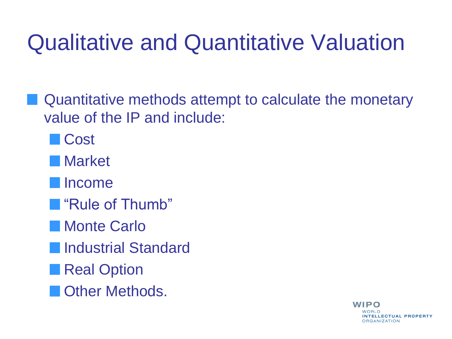# Qualitative and Quantitative Valuation

- **N** Quantitative methods attempt to calculate the monetary value of the IP and include:
	- **Cost**
	- Market
	- Income
	- **N** "Rule of Thumb"
	- **Monte Carlo**
	- **Industrial Standard**
	- **Real Option**
	- **Cother Methods.**

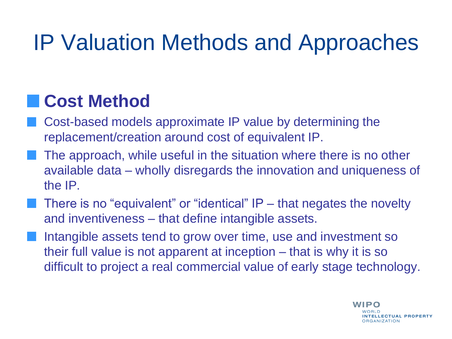#### **Cost Method**

- Cost-based models approximate IP value by determining the replacement/creation around cost of equivalent IP.
- The approach, while useful in the situation where there is no other available data – wholly disregards the innovation and uniqueness of the IP.
- There is no "equivalent" or "identical" IP that negates the novelty and inventiveness – that define intangible assets.
- Intangible assets tend to grow over time, use and investment so their full value is not apparent at inception – that is why it is so difficult to project a real commercial value of early stage technology.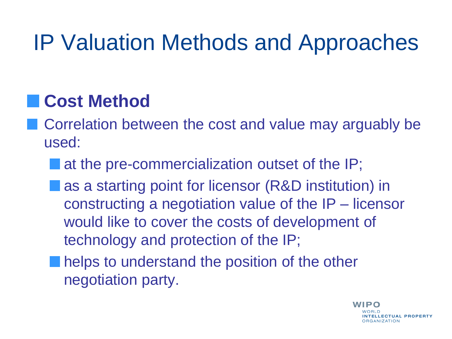#### **Cost Method**

- **Correlation between the cost and value may arguably be** used:
	- at the pre-commercialization outset of the IP;
	- as a starting point for licensor (R&D institution) in constructing a negotiation value of the IP – licensor would like to cover the costs of development of technology and protection of the IP;
	- **n** helps to understand the position of the other negotiation party.

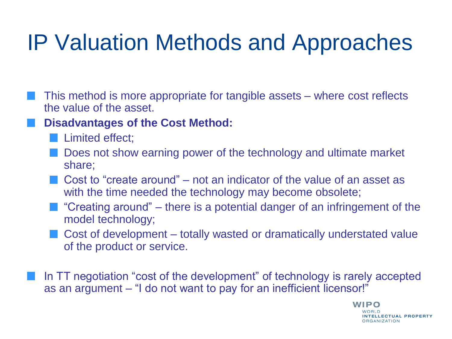- This method is more appropriate for tangible assets where cost reflects the value of the asset.
	- **Disadvantages of the Cost Method:**
		- **Limited effect;**
		- **Does not show earning power of the technology and ultimate market** share;
		- Cost to "create around" not an indicator of the value of an asset as with the time needed the technology may become obsolete;
		- $\blacksquare$  "Creating around" there is a potential danger of an infringement of the model technology;
		- Cost of development totally wasted or dramatically understated value of the product or service.
- In TT negotiation "cost of the development" of technology is rarely accepted as an argument – "I do not want to pay for an inefficient licensor!"

WIPO NTELLECTUAL PROPERTY **DRGANIZATION**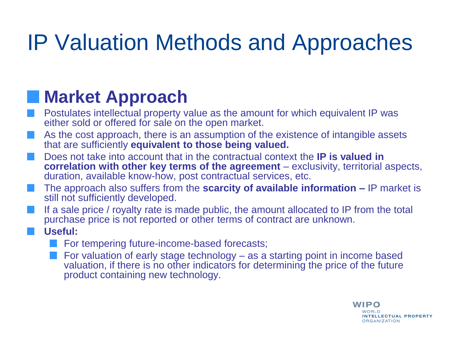#### **Market Approach**

- Postulates intellectual property value as the amount for which equivalent IP was either sold or offered for sale on the open market.
- As the cost approach, there is an assumption of the existence of intangible assets that are sufficiently **equivalent to those being valued.**
- Does not take into account that in the contractual context the **IP is valued in correlation with other key terms of the agreement** – exclusivity, territorial aspects, duration, available know-how, post contractual services, etc.
- The approach also suffers from the **scarcity of available information –** IP market is still not sufficiently developed.
- If a sale price / royalty rate is made public, the amount allocated to IP from the total purchase price is not reported or other terms of contract are unknown.
	- **Useful:**
		- For tempering future-income-based forecasts;
		- For valuation of early stage technology as a starting point in income based valuation, if there is no other indicators for determining the price of the future product containing new technology.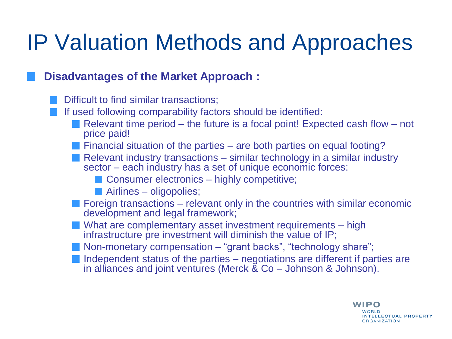#### **Disadvantages of the Market Approach :**

- Difficult to find similar transactions;
- If used following comparability factors should be identified:
	- Relevant time period the future is a focal point! Expected cash flow not price paid!
	- **Financial situation of the parties are both parties on equal footing?**
	- Relevant industry transactions  $-$  similar technology in a similar industry sector – each industry has a set of unique economic forces:
		- Consumer electronics highly competitive;
		- **Airlines** oligopolies;
	- $\blacksquare$  Foreign transactions relevant only in the countries with similar economic development and legal framework;
	- What are complementary asset investment requirements high infrastructure pre investment will diminish the value of IP;
	- **Non-monetary compensation "grant backs", "technology share";**
	- Independent status of the parties  $-$  negotiations are different if parties are in alliances and joint ventures (Merck & Co – Johnson & Johnson).

**WIPO** WORLD

**INTELLECTUAL PROPERTY** 

**ORGANIZATION**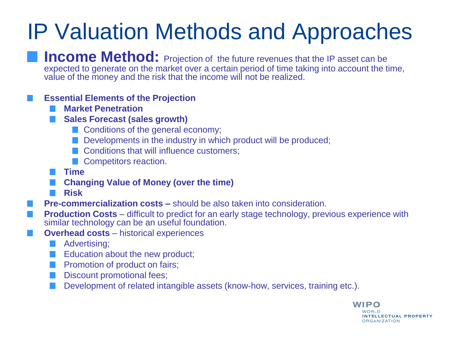**Income Method:** Projection of the future revenues that the IP asset can be expected to generate on the market over a certain period of time taking into account the time, value of the money and the risk that the income will not be realized.

#### **Essential Elements of the Projection**

- **Market Penetration**
- **Sales Forecast (sales growth)**
	- Conditions of the general economy;
	- Developments in the industry in which product will be produced;
	- Conditions that will influence customers;
	- **Competitors reaction.**
- **Time**
- **Changing Value of Money (over the time)**
- **Risk**

**Pre-commercialization costs –** should be also taken into consideration.

- **Production Costs** difficult to predict for an early stage technology, previous experience with similar technology can be an useful foundation.
- **Overhead costs** historical experiences
	- **Advertising**;
	- Education about the new product;
	- Promotion of product on fairs;
	- Discount promotional fees;
	- Development of related intangible assets (know-how, services, training etc.).

WIPO WORLD **INTELLECTUAL PROPERTY ORGANIZATION**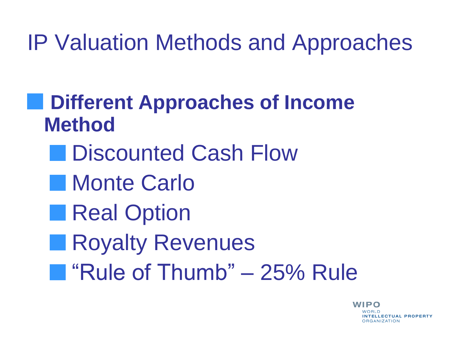**Different Approaches of Income Method**

- Discounted Cash Flow
- **Monte Carlo**
- **Real Option**
- Royalty Revenues  $\mathcal{L}(\mathcal{A})$
- "Rule of Thumb" 25% Rule

WIPO NTELLECTUAL PROPERTY **DRGANIZATION**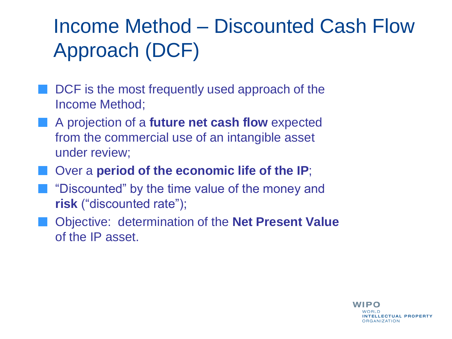#### Income Method – Discounted Cash Flow Approach (DCF)

- DCF is the most frequently used approach of the Income Method;
- **A** projection of a **future net cash flow** expected from the commercial use of an intangible asset under review;
- **Notable 20 In 20 In 20 In 20 In 20 In 20 In 20 In 20 In 20 In 20 In 20 In 20 In 20 In 20 In 20 In 20 In 20 In 20 In 20 In 20 In 20 In 20 In 20 In 20 In 20 In 20 In 20 In 20 In 20 In 20 In 20 In 20 In 20 In 20 In 20 In 20**
- **T** "Discounted" by the time value of the money and **risk** ("discounted rate");
- Objective: determination of the **Net Present Value**  of the IP asset.

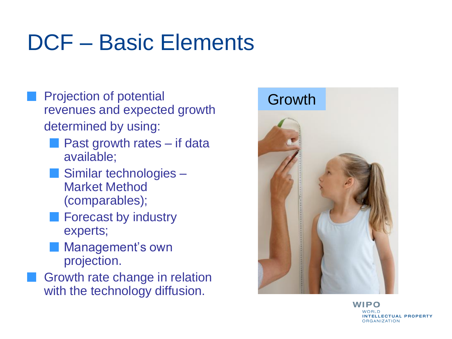# DCF – Basic Elements

- Projection of potential revenues and expected growth determined by using:
	- **Past growth rates if data** available;
	- Similar technologies -Market Method (comparables);
	- **Forecast by industry** experts;
	- **Management's own** projection.
- Growth rate change in relation with the technology diffusion.



WIPO **INTELLECTUAL PROPERTY ORGANIZATION**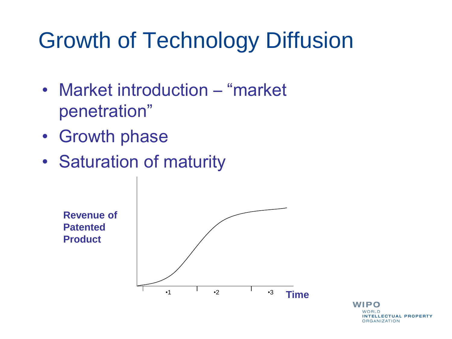# Growth of Technology Diffusion

- Market introduction "market" penetration"
- Growth phase
- Saturation of maturity



WIPO WORLD **INTELLECTUAL PROPERTY ORGANIZATION**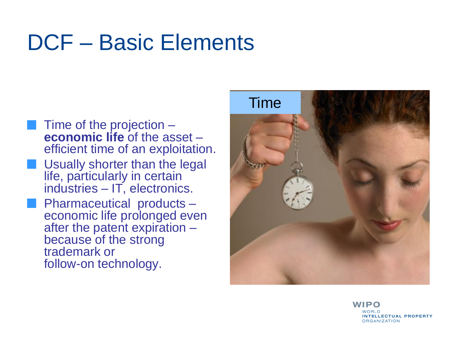## DCF – Basic Elements

- Time of the projection **economic life** of the asset – efficient time of an exploitation.
- Usually shorter than the legal life, particularly in certain industries – IT, electronics.
- Pharmaceutical products economic life prolonged even after the patent expiration – because of the strong trademark or follow-on technology.



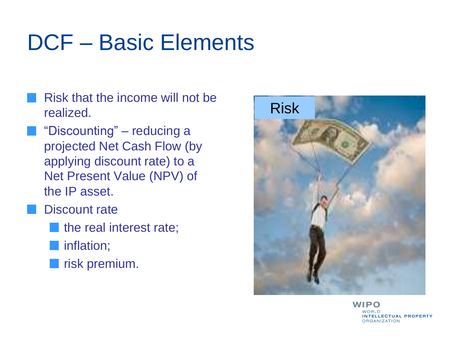# DCF – Basic Elements

- Risk that the income will not be realized.
	- "Discounting" reducing a projected Net Cash Flow (by applying discount rate) to a Net Present Value (NPV) of the IP asset.
	- Discount rate
		- the real interest rate;
		- **inflation**;
			- risk premium.



WIPO **INTELLECTUAL PROPERTY ORGANIZATION**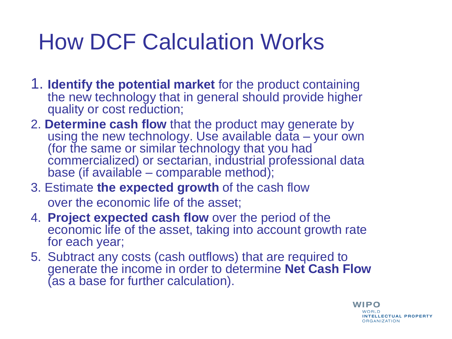# How DCF Calculation Works

- 1. **Identify the potential market** for the product containing the new technology that in general should provide higher quality or cost reduction;
- 2. **Determine cash flow** that the product may generate by using the new technology. Use available data - your own (for the same or similar technology that you had commercialized) or sectarian, industrial professional data base (if available – comparable method);
- 3. Estimate **the expected growth** of the cash flow over the economic life of the asset;
- 4. **Project expected cash flow** over the period of the economic life of the asset, taking into account growth rate for each year;
- 5. Subtract any costs (cash outflows) that are required to generate the income in order to determine **Net Cash Flow**  (as a base for further calculation).

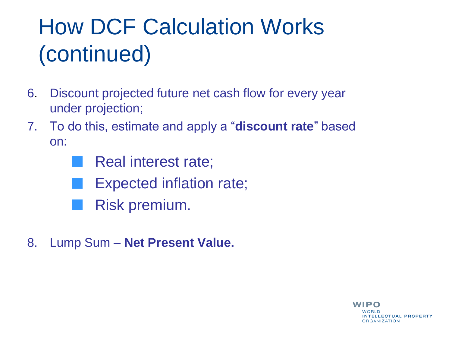# How DCF Calculation Works (continued)

- 6. Discount projected future net cash flow for every year under projection;
- 7. To do this, estimate and apply a "**discount rate**" based on:

Real interest rate;

- Expected inflation rate;
- Risk premium.
- 8. Lump Sum **Net Present Value.**

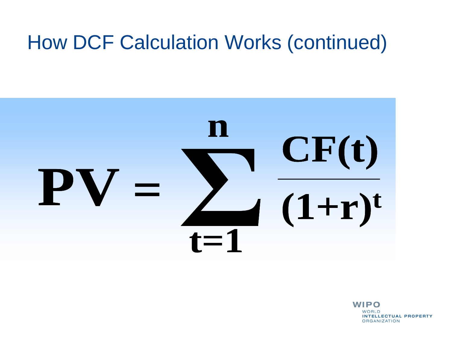#### How DCF Calculation Works (continued)



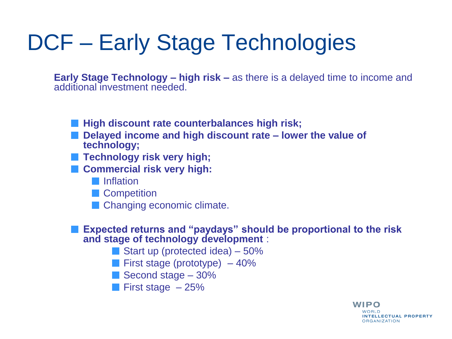# DCF – Early Stage Technologies

**Early Stage Technology – high risk –** as there is a delayed time to income and additional investment needed.

- **High discount rate counterbalances high risk;**
- Delayed income and high discount rate lower the value of **technology;**
- **Technology risk very high;**
- **E** Commercial risk very high:
	- **I**Inflation
	- **Competition**
	- **Changing economic climate.**

**Expected returns and "paydays" should be proportional to the risk and stage of technology development** :

> **WIPO** WORLD.

> > **INTELLECTUAL PROPERTY**

**ORGANIZATION** 

- Start up (protected idea)  $-50\%$
- **First stage (prototype)**  $-40\%$
- Second stage 30%
- **First stage**  $-25%$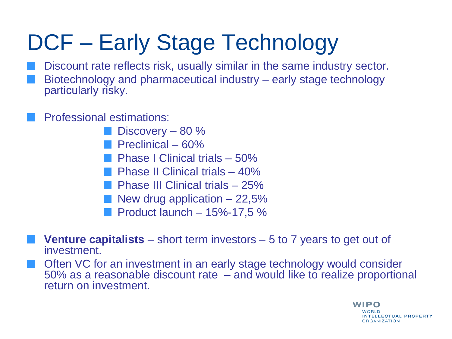# DCF – Early Stage Technology

Discount rate reflects risk, usually similar in the same industry sector. Biotechnology and pharmaceutical industry – early stage technology particularly risky.

Professional estimations:

- Discovery 80 %
- **Preclinical 60%**
- Phase I Clinical trials 50%
- **Phase II Clinical trials 40%**
- Phase III Clinical trials 25%
- New drug application  $-22,5%$
- **Product launch 15%-17,5 %**
- **Venture capitalists**  short term investors 5 to 7 years to get out of investment.
- Often VC for an investment in an early stage technology would consider 50% as a reasonable discount rate – and would like to realize proportional return on investment.

WIPO **NOBID** INTELLECTUAL PROPERTY **ORGANIZATION**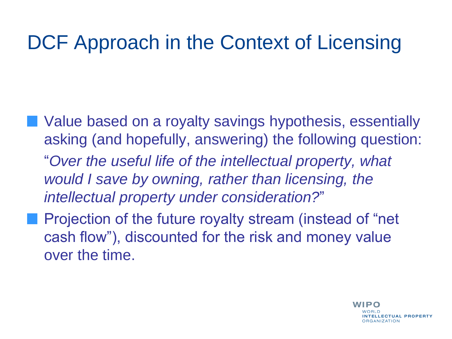#### DCF Approach in the Context of Licensing

- **Notal Value based on a royalty savings hypothesis, essentially** asking (and hopefully, answering) the following question: "*Over the useful life of the intellectual property, what would I save by owning, rather than licensing, the intellectual property under consideration?*"
- **Projection of the future royalty stream (instead of "net** cash flow"), discounted for the risk and money value over the time.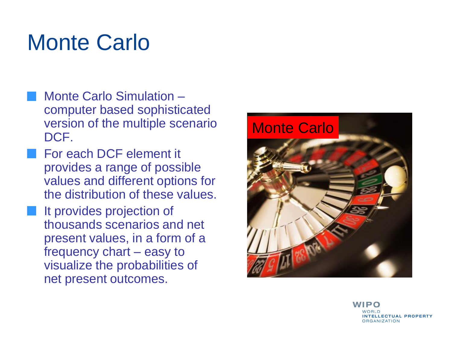# Monte Carlo

- Monte Carlo Simulation computer based sophisticated version of the multiple scenario DCF.
- For each DCF element it provides a range of possible values and different options for the distribution of these values.
- It provides projection of thousands scenarios and net present values, in a form of a frequency chart – easy to visualize the probabilities of net present outcomes.



WIPO **NOBID INTELLECTUAL PROPERTY ORGANIZATION**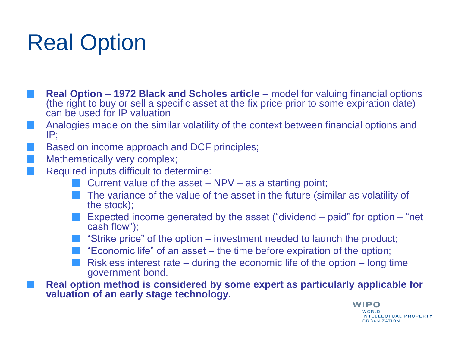# Real Option

- **Real Option – 1972 Black and Scholes article –** model for valuing financial options (the right to buy or sell a specific asset at the fix price prior to some expiration date) can be used for IP valuation
- Analogies made on the similar volatility of the context between financial options and IP;
- Based on income approach and DCF principles;
- Mathematically very complex;
- Required inputs difficult to determine:
	- **Current value of the asset NPV as a starting point;**
	- **The variance of the value of the asset in the future (similar as volatility of** the stock);
	- Expected income generated by the asset ("dividend paid" for option "net cash flow");
	- $\blacksquare$  "Strike price" of the option investment needed to launch the product;
	- $\blacksquare$  "Economic life" of an asset the time before expiration of the option;
	- Riskless interest rate during the economic life of the option long time government bond.

**Real option method is considered by some expert as particularly applicable for valuation of an early stage technology.**

> WIPO WORLD **INTELLECTUAL PROPERTY ORGANIZATION**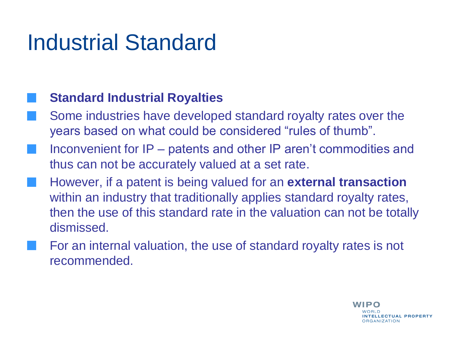# Industrial Standard

#### **Standard Industrial Royalties**

- Some industries have developed standard royalty rates over the years based on what could be considered "rules of thumb".
- Inconvenient for IP patents and other IP aren't commodities and thus can not be accurately valued at a set rate.
- However, if a patent is being valued for an **external transaction** within an industry that traditionally applies standard royalty rates, then the use of this standard rate in the valuation can not be totally dismissed.
- For an internal valuation, the use of standard royalty rates is not recommended.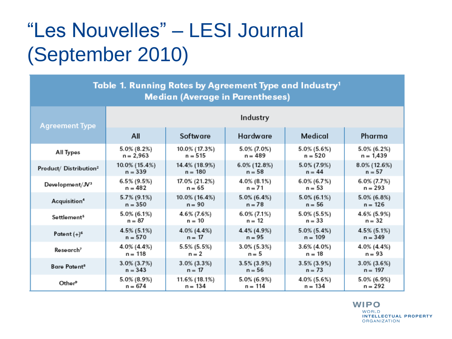#### "Les Nouvelles" – LESI Journal (September 2010)

| Table 1. Running Rates by Agreement Type and Industry <sup>1</sup><br><b>Median (Average in Parentheses)</b> |                |                |                 |                |                 |
|--------------------------------------------------------------------------------------------------------------|----------------|----------------|-----------------|----------------|-----------------|
| <b>Agreement Type</b>                                                                                        | Industry       |                |                 |                |                 |
|                                                                                                              | All            | Software       | Hardware        | Medical        | Pharma          |
| All Types                                                                                                    | $5.0\%$ (8.2%) | 10.0% (17.3%)  | $5.0\%$ (7.0%)  | 5.0% (5.6%)    | 5.0% (6.2%)     |
|                                                                                                              | $n = 2,963$    | $n = 515$      | $n = 489$       | $n = 520$      | $n = 1,439$     |
| Product/ Distribution <sup>2</sup>                                                                           | 10.0% (15.4%)  | 14.4% (18.9%)  | $6.0\%$ (12.8%) | 5.0% (7.9%)    | $8.0\%$ (12.6%) |
|                                                                                                              | $n = 339$      | $n = 180$      | $n = 58$        | $n = 44$       | $n = 57$        |
| Development/JV <sup>3</sup>                                                                                  | 6.5% (9.5%)    | 17.0% (21.2%)  | 4.0% (8.1%)     | 6.0% (6.7%)    | 6.0% (7.7%)     |
|                                                                                                              | $n = 482$      | $n = 65$       | $n = 71$        | $n = 53$       | $n = 293$       |
| Acquisition <sup>4</sup>                                                                                     | 5.7% (9.1%)    | 10.0% (16.4%)  | $5.0\%$ (6.4%)  | $5.0\%$ (6.1%) | $5.0\%$ (6.8%)  |
|                                                                                                              | $n = 350$      | $n = 90$       | $n = 78$        | $n = 56$       | $n = 126$       |
| Settlement <sup>5</sup>                                                                                      | 5.0% (6.1%)    | 4.6% (7.6%)    | $6.0\% (7.1\%)$ | 5.0% (5.5%)    | 4.6% (5.9%)     |
|                                                                                                              | $n = 87$       | $n = 10$       | $n = 12$        | $n = 33$       | $n = 32$        |
| Patent $(+)^6$                                                                                               | 4.5% (5.1%)    | 4.0% (4.4%)    | 4.4% (4.9%)     | $5.0\%$ (5.4%) | $4.5\%$ (5.1%)  |
|                                                                                                              | $n = 570$      | $n = 17$       | $n = 95$        | $n = 109$      | $n = 349$       |
| Research <sup>7</sup>                                                                                        | 4.0% (4.4%)    | 5.5% (5.5%)    | $3.0\%$ (5.3%)  | $3.6\%$ (4.0%) | 4.0% (4.4%)     |
|                                                                                                              | $n = 118$      | $n = 2$        | $n = 5$         | $n = 18$       | $n = 93$        |
| Bare Patent <sup>8</sup>                                                                                     | $3.0\%$ (3.7%) | $3.0\%$ (3.3%) | $3.5\%$ (3.9%)  | $3.5\%$ (3.9%) | $3.0\%$ (3.6%)  |
|                                                                                                              | $n = 343$      | $n = 17$       | $n = 56$        | $n = 73$       | $n = 197$       |
| Other <sup>9</sup>                                                                                           | $5.0\%$ (8.9%) | 11.6% (18.1%)  | $5.0\%$ (6.9%)  | $4.0\%$ (5.6%) | 5.0% (6.9%)     |
|                                                                                                              | $n = 674$      | $n = 134$      | $n = 114$       | $n = 134$      | $n = 292$       |

**WIPO WORLD INTELLECTUAL PROPERTY ORGANIZATION**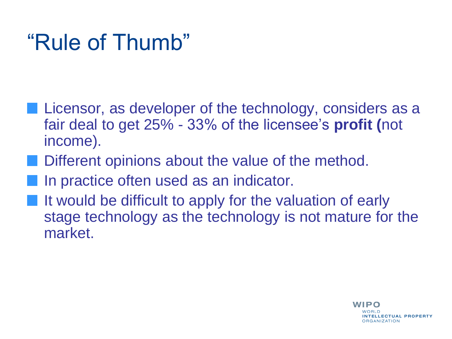# "Rule of Thumb"

- **Licensor, as developer of the technology, considers as a** fair deal to get 25% - 33% of the licensee's **profit (**not income).
- Different opinions about the value of the method.
- In practice often used as an indicator.
- It would be difficult to apply for the valuation of early stage technology as the technology is not mature for the market.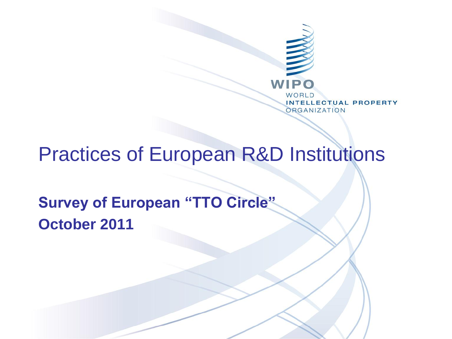

#### Practices of European R&D Institutions

**Survey of European "TTO Circle" October 2011**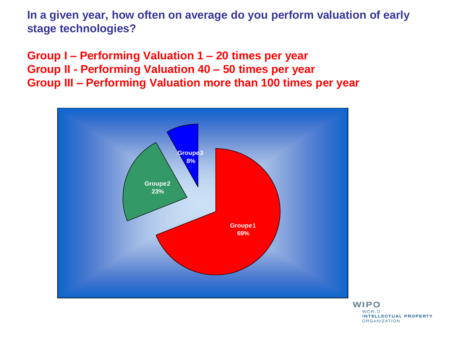**In a given year, how often on average do you perform valuation of early stage technologies?**

**Group I – Performing Valuation 1 – 20 times per year Group II - Performing Valuation 40 – 50 times per year Group III – Performing Valuation more than 100 times per year**



**WIPO WORLD INTELLECTUAL PROPERTY ORGANIZATION**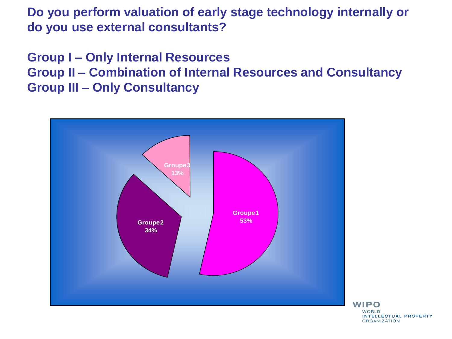**Do you perform valuation of early stage technology internally or do you use external consultants?**

**Group I – Only Internal Resources Group II – Combination of Internal Resources and Consultancy Group III – Only Consultancy**



WIPO **WORLD INTELLECTUAL PROPERTY ORGANIZATION**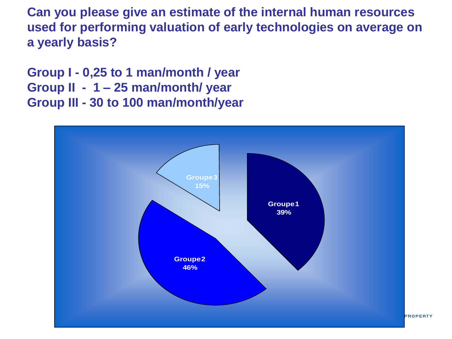**Can you please give an estimate of the internal human resources used for performing valuation of early technologies on average on a yearly basis?**

**Group I - 0,25 to 1 man/month / year Group II - 1 – 25 man/month/ year Group III - 30 to 100 man/month/year** 

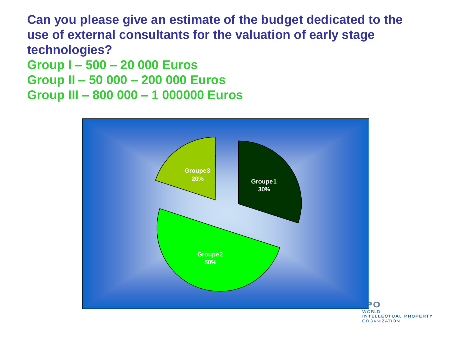**Can you please give an estimate of the budget dedicated to the use of external consultants for the valuation of early stage technologies? Group I – 500 – 20 000 Euros Group II – 50 000 – 200 000 Euros Group III – 800 000 – 1 000000 Euros**

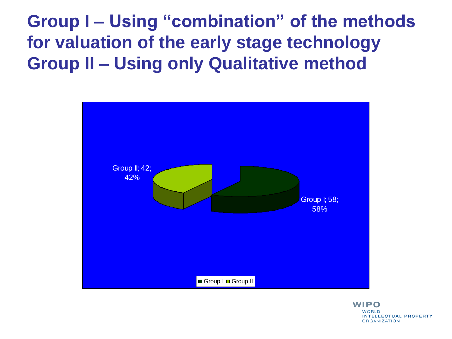**Group I – Using "combination" of the methods for valuation of the early stage technology Group II – Using only Qualitative method**



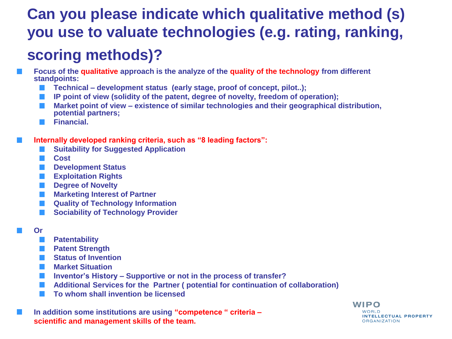#### **Can you please indicate which qualitative method (s) you use to valuate technologies (e.g. rating, ranking, scoring methods)?**

- **Focus of the qualitative approach is the analyze of the quality of the technology from different standpoints:**
	- **Technical – development status (early stage, proof of concept, pilot..);**
	- **IP point of view (solidity of the patent, degree of novelty, freedom of operation);**
	- **Market point of view – existence of similar technologies and their geographical distribution,**  l a l **potential partners;**
	- **Financial.**

#### **Internally developed ranking criteria, such as "8 leading factors":**

- **Suitability for Suggested Application**
- **Cost**
- **Development Status**
- **Exploitation Rights**
- **Degree of Novelty**
- **Marketing Interest of Partner**
- **Quality of Technology Information**
- **Sociability of Technology Provider**
- **Or** 
	- **Patentability**
	- **Patent Strength**
	- **Status of Invention**
	- **Market Situation**
	- **Inventor's History – Supportive or not in the process of transfer?**
	- **Additional Services for the Partner ( potential for continuation of collaboration)**
	- **To whom shall invention be licensed**

**In addition some institutions are using "competence " criteria – scientific and management skills of the team.**

#### **WIPO WORLD INTELLECTUAL PROPERTY ORGANIZATION**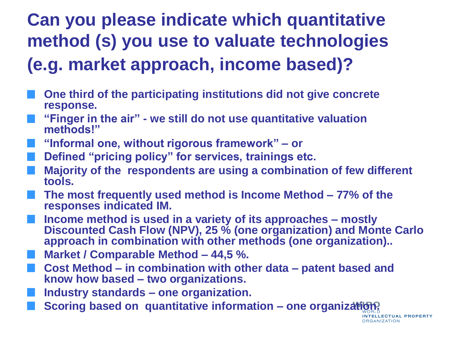#### **Can you please indicate which quantitative method (s) you use to valuate technologies (e.g. market approach, income based)?**

- **One third of the participating institutions did not give concrete response.**
- **"Finger in the air" - we still do not use quantitative valuation methods!"**
- **"Informal one, without rigorous framework" – or**
- **Defined "pricing policy" for services, trainings etc.**
- **Majority of the respondents are using a combination of few different tools.**
- **The most frequently used method is Income Method – 77% of the responses indicated IM.**
- **Income method is used in a variety of its approaches – mostly Discounted Cash Flow (NPV), 25 % (one organization) and Monte Carlo approach in combination with other methods (one organization)..**

**ITELLECTUAL PROPERTY** 

**ORGANIZATION** 

- **Market / Comparable Method – 44,5 %.**
- **Cost Method – in combination with other data – patent based and know how based – two organizations.**
- **Industry standards – one organization.**
- **Scoring based on quantitative information – one organization.**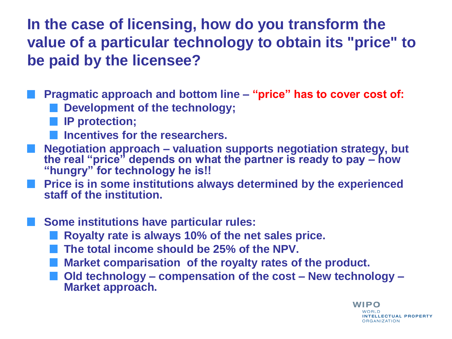**In the case of licensing, how do you transform the value of a particular technology to obtain its "price" to be paid by the licensee?**

**Pragmatic approach and bottom line – "price" has to cover cost of: Development of the technology;**

- **IP protection;**
- **Incentives for the researchers.**
- **Negotiation approach – valuation supports negotiation strategy, but the real "price" depends on what the partner is ready to pay – how "hungry" for technology he is!!**
- **Price is in some institutions always determined by the experienced staff of the institution.**
- **Some institutions have particular rules:**
	- **Royalty rate is always 10% of the net sales price.**
	- **The total income should be 25% of the NPV.**
	- **Market comparisation of the royalty rates of the product.**
	- **Old technology – compensation of the cost – New technology – Market approach.**

**WIPO** VORI D **INTELLECTUAL PROPERTY ORGANIZATION**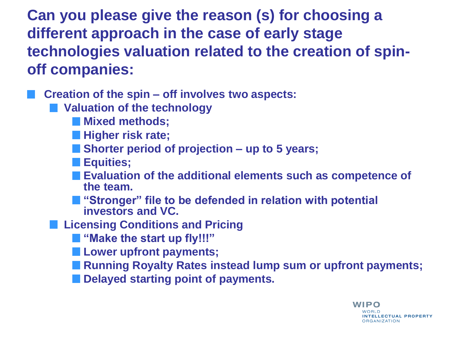**Can you please give the reason (s) for choosing a different approach in the case of early stage technologies valuation related to the creation of spinoff companies:**

**Creation of the spin – off involves two aspects:**

- **Valuation of the technology**
	- **Mixed methods;**
	- **Higher risk rate;**
	- **Shorter period of projection – up to 5 years;**
	- **Equities;**
	- **Evaluation of the additional elements such as competence of the team.**
	- "Stronger" file to be defended in relation with potential **investors and VC.**
- **Licensing Conditions and Pricing** 
	- $\blacksquare$  "Make the start up fly!!!"
	- **Lower upfront payments;**
	- **Running Royalty Rates instead lump sum or upfront payments;**
	- $\blacksquare$  Delayed starting point of payments.

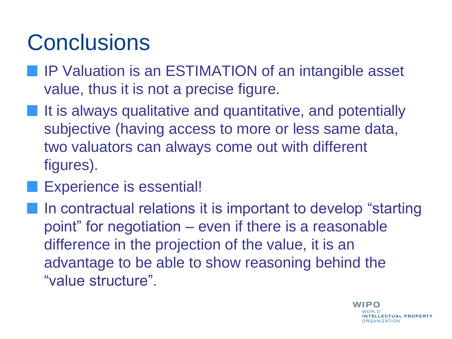## **Conclusions**

- **IF Valuation is an ESTIMATION of an intangible asset** value, thus it is not a precise figure.
- **If it is always qualitative and quantitative, and potentially** subjective (having access to more or less same data, two valuators can always come out with different figures).
	- Experience is essential!
	- In contractual relations it is important to develop "starting" point" for negotiation – even if there is a reasonable difference in the projection of the value, it is an advantage to be able to show reasoning behind the "value structure".